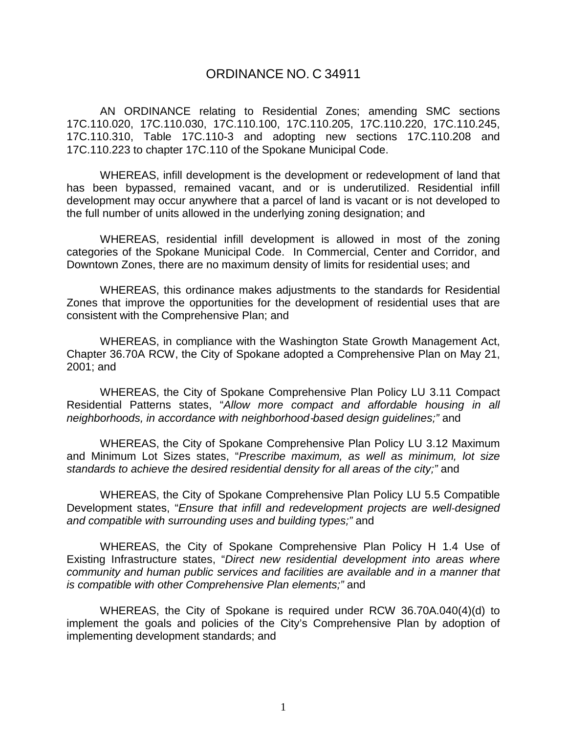## ORDINANCE NO. C 34911

AN ORDINANCE relating to Residential Zones; amending SMC sections 17C.110.020, 17C.110.030, 17C.110.100, 17C.110.205, 17C.110.220, 17C.110.245, 17C.110.310, Table 17C.110-3 and adopting new sections 17C.110.208 and 17C.110.223 to chapter 17C.110 of the Spokane Municipal Code.

WHEREAS, infill development is the development or redevelopment of land that has been bypassed, remained vacant, and or is underutilized. Residential infill development may occur anywhere that a parcel of land is vacant or is not developed to the full number of units allowed in the underlying zoning designation; and

WHEREAS, residential infill development is allowed in most of the zoning categories of the Spokane Municipal Code. In Commercial, Center and Corridor, and Downtown Zones, there are no maximum density of limits for residential uses; and

WHEREAS, this ordinance makes adjustments to the standards for Residential Zones that improve the opportunities for the development of residential uses that are consistent with the Comprehensive Plan; and

WHEREAS, in compliance with the Washington State Growth Management Act, Chapter 36.70A RCW, the City of Spokane adopted a Comprehensive Plan on May 21, 2001; and

WHEREAS, the City of Spokane Comprehensive Plan Policy LU 3.11 Compact Residential Patterns states, "*Allow more compact and affordable housing in all neighborhoods, in accordance with neighborhood*‐*based design guidelines;"* and

WHEREAS, the City of Spokane Comprehensive Plan Policy LU 3.12 Maximum and Minimum Lot Sizes states, "*Prescribe maximum, as well as minimum, lot size standards to achieve the desired residential density for all areas of the city;"* and

WHEREAS, the City of Spokane Comprehensive Plan Policy LU 5.5 Compatible Development states, "*Ensure that infill and redevelopment projects are well-designed and compatible with surrounding uses and building types;"* and

WHEREAS, the City of Spokane Comprehensive Plan Policy H 1.4 Use of Existing Infrastructure states, "*Direct new residential development into areas where community and human public services and facilities are available and in a manner that is compatible with other Comprehensive Plan elements;"* and

WHEREAS, the City of Spokane is required under RCW 36.70A.040(4)(d) to implement the goals and policies of the City's Comprehensive Plan by adoption of implementing development standards; and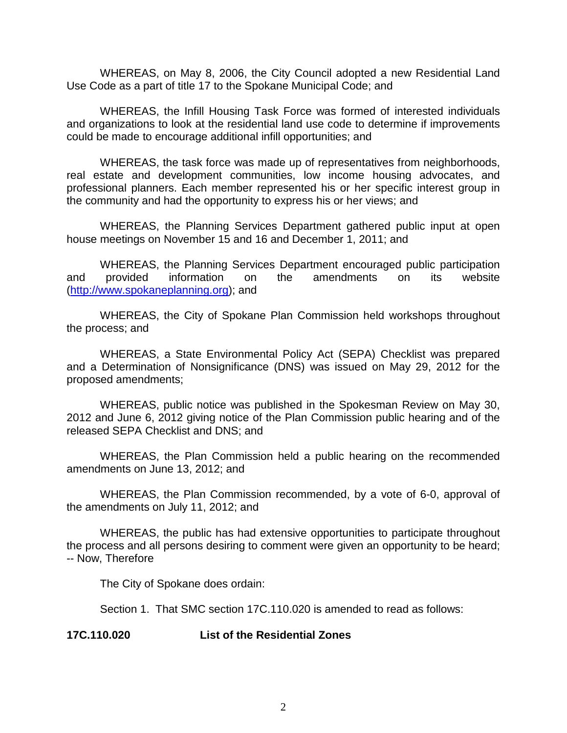WHEREAS, on May 8, 2006, the City Council adopted a new Residential Land Use Code as a part of title 17 to the Spokane Municipal Code; and

WHEREAS, the Infill Housing Task Force was formed of interested individuals and organizations to look at the residential land use code to determine if improvements could be made to encourage additional infill opportunities; and

WHEREAS, the task force was made up of representatives from neighborhoods, real estate and development communities, low income housing advocates, and professional planners. Each member represented his or her specific interest group in the community and had the opportunity to express his or her views; and

WHEREAS, the Planning Services Department gathered public input at open house meetings on November 15 and 16 and December 1, 2011; and

WHEREAS, the Planning Services Department encouraged public participation and provided information on the amendments on its website [\(http://www.spokaneplanning.org\)](http://www.spokaneplanning.org/); and

WHEREAS, the City of Spokane Plan Commission held workshops throughout the process; and

WHEREAS, a State Environmental Policy Act (SEPA) Checklist was prepared and a Determination of Nonsignificance (DNS) was issued on May 29, 2012 for the proposed amendments;

WHEREAS, public notice was published in the Spokesman Review on May 30, 2012 and June 6, 2012 giving notice of the Plan Commission public hearing and of the released SEPA Checklist and DNS; and

WHEREAS, the Plan Commission held a public hearing on the recommended amendments on June 13, 2012; and

WHEREAS, the Plan Commission recommended, by a vote of 6-0, approval of the amendments on July 11, 2012; and

WHEREAS, the public has had extensive opportunities to participate throughout the process and all persons desiring to comment were given an opportunity to be heard; -- Now, Therefore

The City of Spokane does ordain:

Section 1. That SMC section 17C.110.020 is amended to read as follows:

**17C.110.020 List of the Residential Zones**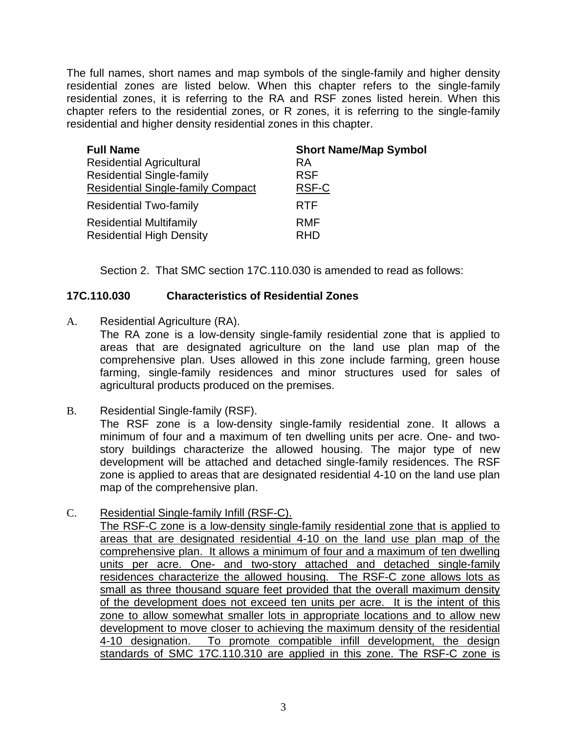The full names, short names and map symbols of the single-family and higher density residential zones are listed below. When this chapter refers to the single-family residential zones, it is referring to the RA and RSF zones listed herein. When this chapter refers to the residential zones, or R zones, it is referring to the single-family residential and higher density residential zones in this chapter.

| <b>Full Name</b>                         | <b>Short Name/Map Symbol</b> |
|------------------------------------------|------------------------------|
| <b>Residential Agricultural</b>          | RA                           |
| <b>Residential Single-family</b>         | <b>RSF</b>                   |
| <b>Residential Single-family Compact</b> | RSF-C                        |
| <b>Residential Two-family</b>            | <b>RTF</b>                   |
| <b>Residential Multifamily</b>           | <b>RMF</b>                   |
| <b>Residential High Density</b>          | <b>RHD</b>                   |

Section 2. That SMC section 17C.110.030 is amended to read as follows:

## **17C.110.030 Characteristics of Residential Zones**

A. Residential Agriculture (RA).

The RA zone is a low-density single-family residential zone that is applied to areas that are designated agriculture on the land use plan map of the comprehensive plan. Uses allowed in this zone include farming, green house farming, single-family residences and minor structures used for sales of agricultural products produced on the premises.

B. Residential Single-family (RSF).

The RSF zone is a low-density single-family residential zone. It allows a minimum of four and a maximum of ten dwelling units per acre. One- and twostory buildings characterize the allowed housing. The major type of new development will be attached and detached single-family residences. The RSF zone is applied to areas that are designated residential 4-10 on the land use plan map of the comprehensive plan.

C. Residential Single-family Infill (RSF-C).

The RSF-C zone is a low-density single-family residential zone that is applied to areas that are designated residential 4-10 on the land use plan map of the comprehensive plan. It allows a minimum of four and a maximum of ten dwelling units per acre. One- and two-story attached and detached single-family residences characterize the allowed housing. The RSF-C zone allows lots as small as three thousand square feet provided that the overall maximum density of the development does not exceed ten units per acre. It is the intent of this zone to allow somewhat smaller lots in appropriate locations and to allow new development to move closer to achieving the maximum density of the residential 4-10 designation. To promote compatible infill development, the design standards of SMC 17C.110.310 are applied in this zone. The RSF-C zone is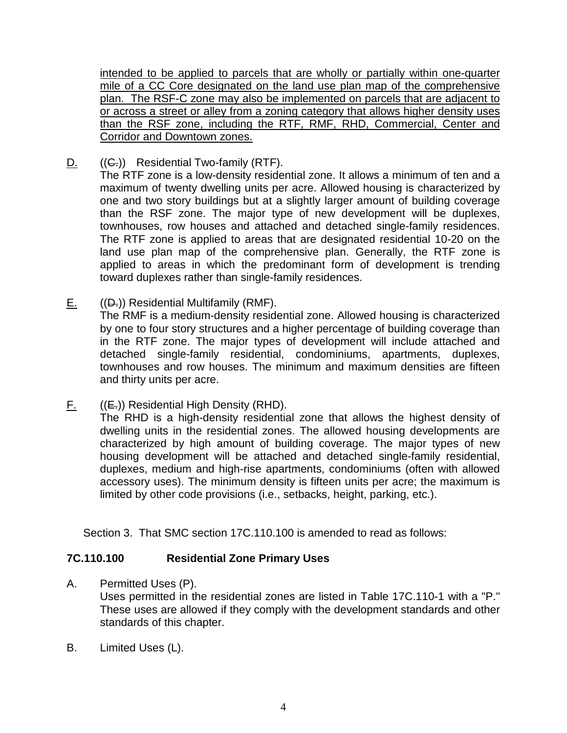intended to be applied to parcels that are wholly or partially within one-quarter mile of a CC Core designated on the land use plan map of the comprehensive plan. The RSF-C zone may also be implemented on parcels that are adjacent to or across a street or alley from a zoning category that allows higher density uses than the RSF zone, including the RTF, RMF, RHD, Commercial, Center and Corridor and Downtown zones.

 $D.$  ((C.)) Residential Two-family (RTF).

The RTF zone is a low-density residential zone. It allows a minimum of ten and a maximum of twenty dwelling units per acre. Allowed housing is characterized by one and two story buildings but at a slightly larger amount of building coverage than the RSF zone. The major type of new development will be duplexes, townhouses, row houses and attached and detached single-family residences. The RTF zone is applied to areas that are designated residential 10-20 on the land use plan map of the comprehensive plan. Generally, the RTF zone is applied to areas in which the predominant form of development is trending toward duplexes rather than single-family residences.

 $E.$  (( $D.$ )) Residential Multifamily (RMF).

The RMF is a medium-density residential zone. Allowed housing is characterized by one to four story structures and a higher percentage of building coverage than in the RTF zone. The major types of development will include attached and detached single-family residential, condominiums, apartments, duplexes, townhouses and row houses. The minimum and maximum densities are fifteen and thirty units per acre.

 $F.$  ((E.)) Residential High Density (RHD).

The RHD is a high-density residential zone that allows the highest density of dwelling units in the residential zones. The allowed housing developments are characterized by high amount of building coverage. The major types of new housing development will be attached and detached single-family residential, duplexes, medium and high-rise apartments, condominiums (often with allowed accessory uses). The minimum density is fifteen units per acre; the maximum is limited by other code provisions (i.e., setbacks, height, parking, etc.).

Section 3. That SMC section 17C.110.100 is amended to read as follows:

# **7C.110.100 Residential Zone Primary Uses**

A. Permitted Uses (P).

Uses permitted in the residential zones are listed in Table 17C.110-1 with a "P." These uses are allowed if they comply with the development standards and other standards of this chapter.

B. Limited Uses (L).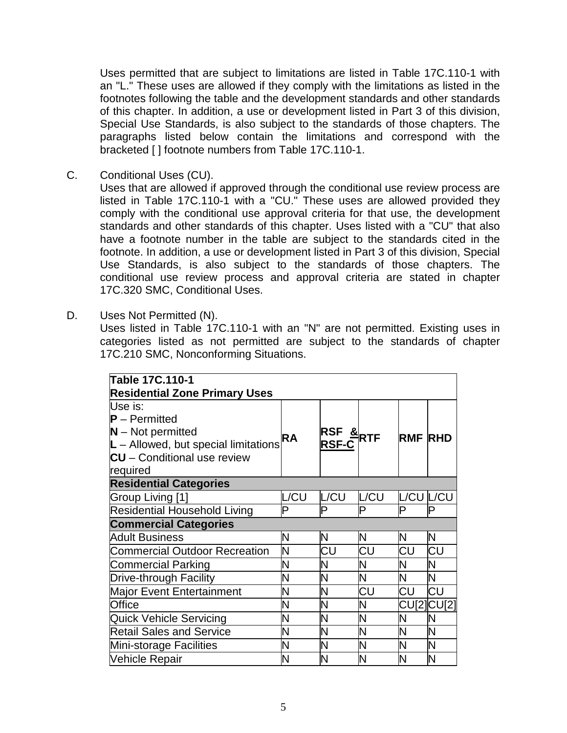Uses permitted that are subject to limitations are listed in Table 17C.110-1 with an "L." These uses are allowed if they comply with the limitations as listed in the footnotes following the table and the development standards and other standards of this chapter. In addition, a use or development listed in Part 3 of this division, Special Use Standards, is also subject to the standards of those chapters. The paragraphs listed below contain the limitations and correspond with the bracketed [ ] footnote numbers from Table 17C.110-1.

C. Conditional Uses (CU).

Uses that are allowed if approved through the conditional use review process are listed in Table 17C.110-1 with a "CU." These uses are allowed provided they comply with the conditional use approval criteria for that use, the development standards and other standards of this chapter. Uses listed with a "CU" that also have a footnote number in the table are subject to the standards cited in the footnote. In addition, a use or development listed in Part 3 of this division, Special Use Standards, is also subject to the standards of those chapters. The conditional use review process and approval criteria are stated in chapter 17C.320 SMC, Conditional Uses.

D. Uses Not Permitted (N).

Uses listed in Table 17C.110-1 with an "N" are not permitted. Existing uses in categories listed as not permitted are subject to the standards of chapter 17C.210 SMC, Nonconforming Situations.

| Table 17C.110-1                        |      |                             |      |                   |    |
|----------------------------------------|------|-----------------------------|------|-------------------|----|
| <b>Residential Zone Primary Uses</b>   |      |                             |      |                   |    |
| Use is:                                |      |                             |      |                   |    |
| $\textsf{P}-\textsf{Permitted}$        |      |                             |      |                   |    |
| $N - Not$ permitted                    | RA   | $RSF \overset{8}{\leq} RTF$ |      | <b>RMF RHD</b>    |    |
| $L$ – Allowed, but special limitations |      | <b>RSF-C</b>                |      |                   |    |
| <b>CU</b> - Conditional use review     |      |                             |      |                   |    |
| required                               |      |                             |      |                   |    |
| <b>Residential Categories</b>          |      |                             |      |                   |    |
| Group Living [1]                       | L/CU | L/CU                        | L/CU | L/CU L/CU         |    |
| Residential Household Living           | P    | P                           | P    | P                 | Þ  |
| <b>Commercial Categories</b>           |      |                             |      |                   |    |
| <b>Adult Business</b>                  | N    | N                           | N    | N                 | N  |
| <b>Commercial Outdoor Recreation</b>   | N    | CU                          | CU   | СU                | СU |
| <b>Commercial Parking</b>              | N    | N                           | N    | N                 | N  |
| <b>Drive-through Facility</b>          | N    | Ν                           | N    | N                 | N  |
| Major Event Entertainment              | N    | N                           | CU   | CU                | CU |
| Office                                 | N    | N                           | N    | <b>CU[2]CU[2]</b> |    |
| <b>Quick Vehicle Servicing</b>         | N    | N                           | N    | N                 | N  |
| <b>Retail Sales and Service</b>        | N    | N                           | N    | N                 | N  |
| Mini-storage Facilities                | N    | N                           | N    | N                 | N  |
| Vehicle Repair                         | N    | N                           | N    | N                 | N  |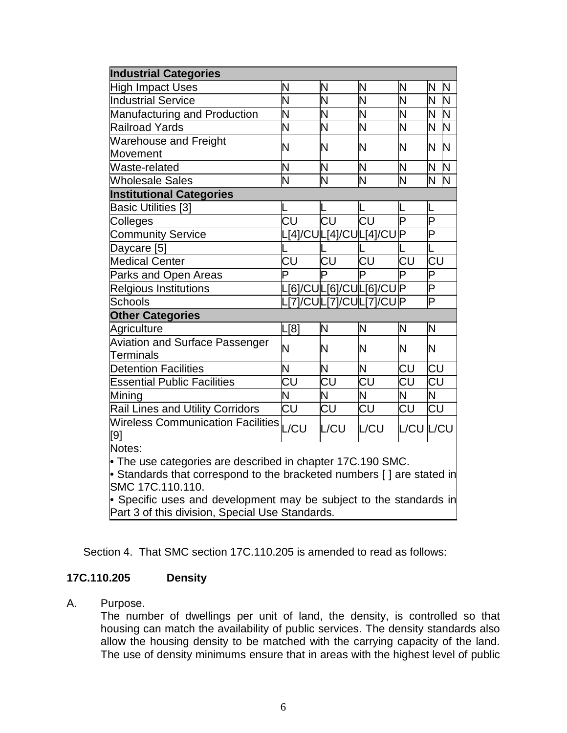| <b>Industrial Categories</b>                                           |                                   |                               |                                       |                                   |                               |
|------------------------------------------------------------------------|-----------------------------------|-------------------------------|---------------------------------------|-----------------------------------|-------------------------------|
| <b>High Impact Uses</b>                                                | N                                 | Ν                             | Ν                                     | N                                 | $\mathsf{N}$<br>N             |
| <b>Industrial Service</b>                                              | <u>N</u>                          | N                             | N                                     | Σ                                 | Ν<br>N                        |
| <b>Manufacturing and Production</b>                                    | N                                 | N                             | N                                     | N                                 | N<br><b>N</b>                 |
| <b>Railroad Yards</b>                                                  | $\overline{\mathsf{N}}$           | N                             | Ń                                     | Σ                                 | $\overline{\sf N}$<br>N       |
| <b>Warehouse and Freight</b>                                           | N                                 | N                             | N                                     | N                                 | N<br>N                        |
| <b>Movement</b>                                                        |                                   |                               |                                       |                                   |                               |
| Waste-related                                                          | N                                 | N                             | N                                     | N                                 | N.<br>$\overline{\mathsf{N}}$ |
| Wholesale Sales                                                        | $\overline{\mathsf{N}}$           | Ń                             | N                                     | Ν                                 | N<br>N                        |
| <b>Institutional Categories</b>                                        |                                   |                               |                                       |                                   |                               |
| <b>Basic Utilities [3]</b>                                             |                                   |                               |                                       |                                   |                               |
| Colleges                                                               | $\overline{\mathsf{C}\mathsf{U}}$ | $\overline{\text{c}\text{u}}$ | $\overline{\mathsf{C}\mathsf{U}}$     | $\overline{\mathsf{P}}$           | Þ                             |
| <b>Community Service</b>                                               |                                   |                               | [4]/CU L[4]/CU L[4]/CU P              |                                   | $\overline{\mathsf{P}}$       |
| Daycare [5]                                                            |                                   |                               |                                       |                                   |                               |
| Medical Center                                                         | CU                                | CU                            | $\overline{{\mathsf{C}}{\mathsf{U}}}$ | $\overline{\text{CU}}$            | CU                            |
| Parks and Open Areas                                                   | Þ                                 | D                             | D                                     | P                                 | P                             |
| Relgious Institutions                                                  |                                   |                               | L[6]/CU L[6]/CU L[6]/CU P             |                                   | $\overline{\mathsf{P}}$       |
| <b>Schools</b>                                                         |                                   |                               | L[7]/CU L[7]/CU L[7]/CU P             |                                   | $\overline{\mathsf{P}}$       |
| <b>Other Categories</b>                                                |                                   |                               |                                       |                                   |                               |
| Agriculture                                                            | L[8]                              | N                             | N                                     | N                                 | N                             |
| <b>Aviation and Surface Passenger</b>                                  | N                                 | N                             | N                                     | N                                 | N                             |
| <b>Terminals</b>                                                       |                                   |                               |                                       |                                   |                               |
| <b>Detention Facilities</b>                                            | N                                 | N                             | N                                     | CU                                | CU                            |
| <b>Essential Public Facilities</b>                                     | CU                                | CU                            | CU                                    | CU                                | CU                            |
| Mining                                                                 | N                                 | N                             | N                                     | N                                 | N                             |
| <b>Rail Lines and Utility Corridors</b>                                | CU                                | $\overline{\text{CU}}$        | CU                                    | $\overline{\mathsf{C}\mathsf{U}}$ | CU                            |
| Wireless Communication Facilities L/CU                                 |                                   | L/CU                          | L/CU                                  | L/CU L/CU                         |                               |
| [9]                                                                    |                                   |                               |                                       |                                   |                               |
| Notes:                                                                 |                                   |                               |                                       |                                   |                               |
| • The use categories are described in chapter 17C.190 SMC.             |                                   |                               |                                       |                                   |                               |
| • Standards that correspond to the bracketed numbers [ ] are stated in |                                   |                               |                                       |                                   |                               |
| SMC 17C.110.110.                                                       |                                   |                               |                                       |                                   |                               |
| • Specific uses and development may be subject to the standards in     |                                   |                               |                                       |                                   |                               |
| Part 3 of this division, Special Use Standards.                        |                                   |                               |                                       |                                   |                               |

Section 4. That SMC section 17C.110.205 is amended to read as follows:

#### **17C.110.205 Density**

A. Purpose.

The number of dwellings per unit of land, the density, is controlled so that housing can match the availability of public services. The density standards also allow the housing density to be matched with the carrying capacity of the land. The use of density minimums ensure that in areas with the highest level of public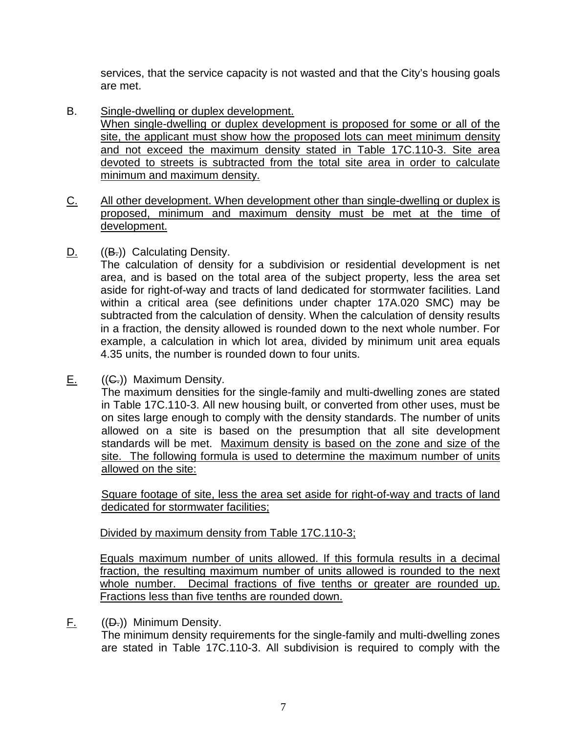services, that the service capacity is not wasted and that the City's housing goals are met.

- B. Single-dwelling or duplex development. When single-dwelling or duplex development is proposed for some or all of the site, the applicant must show how the proposed lots can meet minimum density and not exceed the maximum density stated in Table 17C.110-3. Site area devoted to streets is subtracted from the total site area in order to calculate minimum and maximum density.
- C. All other development. When development other than single-dwelling or duplex is proposed, minimum and maximum density must be met at the time of development.
- D.  $((B<sub>z</sub>))$  Calculating Density.

The calculation of density for a subdivision or residential development is net area, and is based on the total area of the subject property, less the area set aside for right-of-way and tracts of land dedicated for stormwater facilities. Land within a critical area (see definitions under chapter 17A.020 SMC) may be subtracted from the calculation of density. When the calculation of density results in a fraction, the density allowed is rounded down to the next whole number. For example, a calculation in which lot area, divided by minimum unit area equals 4.35 units, the number is rounded down to four units.

E.  $((G.))$  Maximum Density.

The maximum densities for the single-family and multi-dwelling zones are stated in Table 17C.110-3. All new housing built, or converted from other uses, must be on sites large enough to comply with the density standards. The number of units allowed on a site is based on the presumption that all site development standards will be met. Maximum density is based on the zone and size of the site. The following formula is used to determine the maximum number of units allowed on the site:

Square footage of site, less the area set aside for right-of-way and tracts of land dedicated for stormwater facilities;

Divided by maximum density from Table 17C.110-3;

Equals maximum number of units allowed. If this formula results in a decimal fraction, the resulting maximum number of units allowed is rounded to the next whole number. Decimal fractions of five tenths or greater are rounded up. Fractions less than five tenths are rounded down.

F. ((D.)) Minimum Density.

The minimum density requirements for the single-family and multi-dwelling zones are stated in Table 17C.110-3. All subdivision is required to comply with the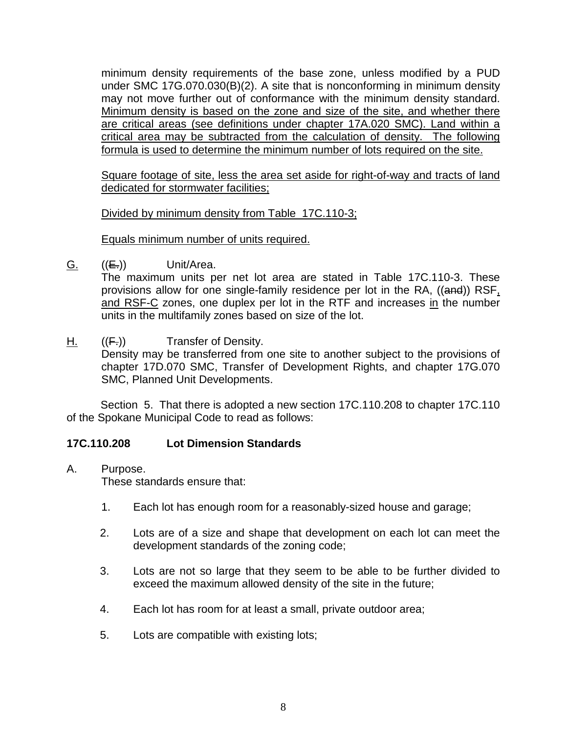minimum density requirements of the base zone, unless modified by a PUD under SMC 17G.070.030(B)(2). A site that is nonconforming in minimum density may not move further out of conformance with the minimum density standard. Minimum density is based on the zone and size of the site, and whether there are critical areas (see definitions under chapter 17A.020 SMC). Land within a critical area may be subtracted from the calculation of density. The following formula is used to determine the minimum number of lots required on the site.

Square footage of site, less the area set aside for right-of-way and tracts of land dedicated for stormwater facilities;

Divided by minimum density from Table\_17C.110-3;

Equals minimum number of units required.

G.  $((E))$  Unit/Area.

The maximum units per net lot area are stated in Table 17C.110-3. These provisions allow for one single-family residence per lot in the RA, ((and)) RSF, and RSF-C zones, one duplex per lot in the RTF and increases in the number units in the multifamily zones based on size of the lot.

H.  $((E_i))$  Transfer of Density.

Density may be transferred from one site to another subject to the provisions of chapter 17D.070 SMC, Transfer of Development Rights, and chapter 17G.070 SMC, Planned Unit Developments.

Section 5. That there is adopted a new section 17C.110.208 to chapter 17C.110 of the Spokane Municipal Code to read as follows:

# **17C.110.208 Lot Dimension Standards**

A. Purpose.

These standards ensure that:

- 1. Each lot has enough room for a reasonably-sized house and garage;
- 2. Lots are of a size and shape that development on each lot can meet the development standards of the zoning code;
- 3. Lots are not so large that they seem to be able to be further divided to exceed the maximum allowed density of the site in the future;
- 4. Each lot has room for at least a small, private outdoor area;
- 5. Lots are compatible with existing lots;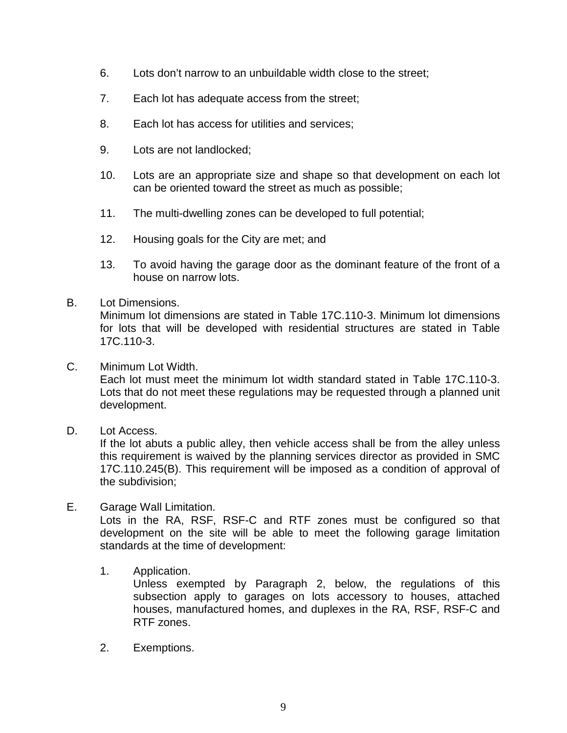- 6. Lots don't narrow to an unbuildable width close to the street;
- 7. Each lot has adequate access from the street;
- 8. Each lot has access for utilities and services;
- 9. Lots are not landlocked;
- 10. Lots are an appropriate size and shape so that development on each lot can be oriented toward the street as much as possible;
- 11. The multi-dwelling zones can be developed to full potential;
- 12. Housing goals for the City are met; and
- 13. To avoid having the garage door as the dominant feature of the front of a house on narrow lots.

#### B. Lot Dimensions.

Minimum lot dimensions are stated in Table 17C.110-3. Minimum lot dimensions for lots that will be developed with residential structures are stated in Table 17C.110-3.

C. Minimum Lot Width.

Each lot must meet the minimum lot width standard stated in Table 17C.110-3. Lots that do not meet these regulations may be requested through a planned unit development.

D. Lot Access.

If the lot abuts a public alley, then vehicle access shall be from the alley unless this requirement is waived by the planning services director as provided in SMC 17C.110.245(B). This requirement will be imposed as a condition of approval of the subdivision;

## E. Garage Wall Limitation.

Lots in the RA, RSF, RSF-C and RTF zones must be configured so that development on the site will be able to meet the following garage limitation standards at the time of development:

#### 1. Application.

Unless exempted by Paragraph 2, below, the regulations of this subsection apply to garages on lots accessory to houses, attached houses, manufactured homes, and duplexes in the RA, RSF, RSF-C and RTF zones.

2. Exemptions.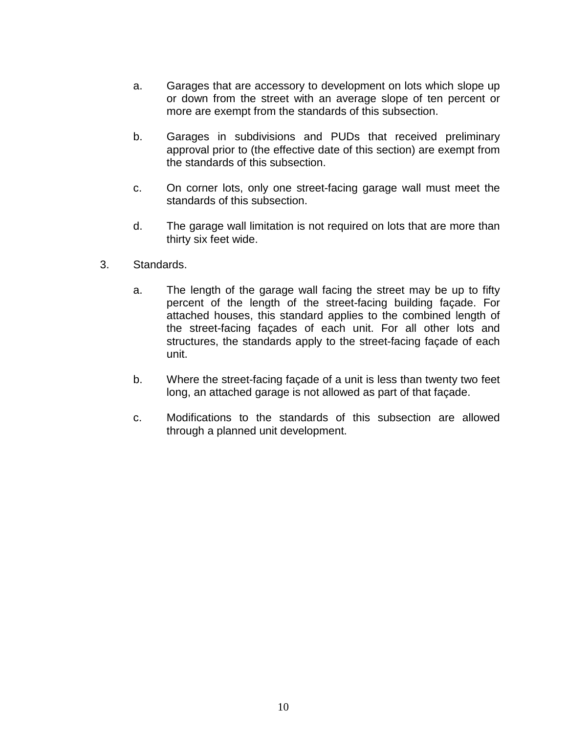- a. Garages that are accessory to development on lots which slope up or down from the street with an average slope of ten percent or more are exempt from the standards of this subsection.
- b. Garages in subdivisions and PUDs that received preliminary approval prior to (the effective date of this section) are exempt from the standards of this subsection.
- c. On corner lots, only one street-facing garage wall must meet the standards of this subsection.
- d. The garage wall limitation is not required on lots that are more than thirty six feet wide.
- 3. Standards.
	- a. The length of the garage wall facing the street may be up to fifty percent of the length of the street-facing building façade. For attached houses, this standard applies to the combined length of the street-facing façades of each unit. For all other lots and structures, the standards apply to the street-facing façade of each unit.
	- b. Where the street-facing façade of a unit is less than twenty two feet long, an attached garage is not allowed as part of that façade.
	- c. Modifications to the standards of this subsection are allowed through a planned unit development.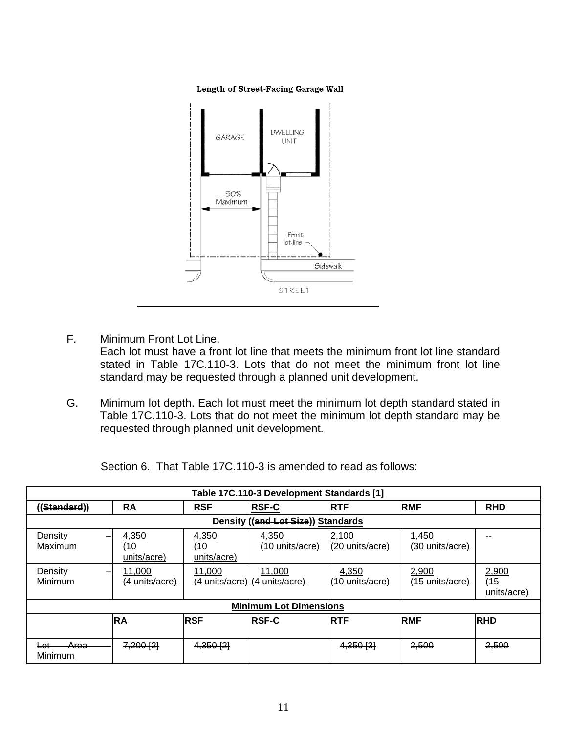#### Length of Street-Facing Garage Wall



- F. Minimum Front Lot Line. Each lot must have a front lot line that meets the minimum front lot line standard stated in Table 17C.110-3. Lots that do not meet the minimum front lot line standard may be requested through a planned unit development.
- G. Minimum lot depth. Each lot must meet the minimum lot depth standard stated in Table 17C.110-3. Lots that do not meet the minimum lot depth standard may be requested through planned unit development.

|  |  |  |  | Section 6. That Table 17C.110-3 is amended to read as follows: |
|--|--|--|--|----------------------------------------------------------------|
|--|--|--|--|----------------------------------------------------------------|

| Table 17C.110-3 Development Standards [1] |                               |                             |                              |                                                             |                                    |                          |                              |
|-------------------------------------------|-------------------------------|-----------------------------|------------------------------|-------------------------------------------------------------|------------------------------------|--------------------------|------------------------------|
| (Standard))                               |                               | <b>RA</b>                   | <b>RSF</b>                   | <b>RSF-C</b>                                                | <b>RTF</b>                         | <b>RMF</b>               | <b>RHD</b>                   |
|                                           |                               |                             |                              | Density ((and Lot Size)) Standards                          |                                    |                          |                              |
| Density<br>Maximum                        |                               | 4,350<br>(10<br>units/acre) | 4,350<br>(10)<br>units/acre) | 4,350<br>(10 units/acre)                                    | 2,100<br>(20 units/acre)           | 1,450<br>(30 units/acre) | --                           |
| Density<br>Minimum                        | -                             | 11.000<br>(4 units/acre)    | 11.000                       | 11,000<br>$(4 \text{ units/acre})$ $(4 \text{ units/acre})$ | 4,350<br>$(10 \text{ units/acre})$ | 2,900<br>(15 units/acre) | 2,900<br>(15)<br>units/acre) |
|                                           | <b>Minimum Lot Dimensions</b> |                             |                              |                                                             |                                    |                          |                              |
|                                           |                               | <b>RA</b>                   | <b>RSF</b>                   | <b>RSF-C</b>                                                | <b>RTF</b>                         | <b>RMF</b>               | <b>RHD</b>                   |
| Area<br><del>Lot</del><br>Minimum         |                               | $7,200$ $[2]$               | 4,350[2]                     |                                                             | $4,350$ [3]                        | 2,500                    | 2,500                        |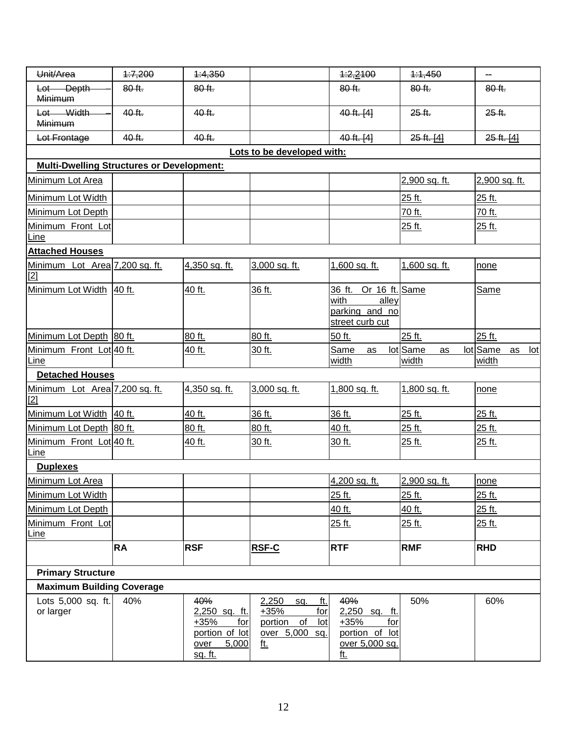| Unit/Area                                        | 4:7,200   | 4:4,350                                                                                    |                                                                                    | 4:2,2100                                                                                | 1:1,450                 | <u></u>                               |
|--------------------------------------------------|-----------|--------------------------------------------------------------------------------------------|------------------------------------------------------------------------------------|-----------------------------------------------------------------------------------------|-------------------------|---------------------------------------|
| Lot Depth<br>Minimum                             | 80 ft.    | 80 ft.                                                                                     |                                                                                    | 80 ft.                                                                                  | 80 ft.                  | 80 ft.                                |
| Lot Width<br>Minimum                             | 40 ft.    | 40 ft.                                                                                     |                                                                                    | 40 ft. [4]                                                                              | 25 ft.                  | 25 ft.                                |
| Lot Frontage                                     | 40 ft.    | 40 ft.                                                                                     |                                                                                    | 40 ft. [4]                                                                              | $25$ ft. [4]            | $25 + 14$                             |
|                                                  |           |                                                                                            | Lots to be developed with:                                                         |                                                                                         |                         |                                       |
| <b>Multi-Dwelling Structures or Development:</b> |           |                                                                                            |                                                                                    |                                                                                         |                         |                                       |
| Minimum Lot Area                                 |           |                                                                                            |                                                                                    |                                                                                         | 2,900 sq. ft.           | 2,900 sq. ft.                         |
| Minimum Lot Width                                |           |                                                                                            |                                                                                    |                                                                                         | 25 ft.                  | 25 ft.                                |
| Minimum Lot Depth                                |           |                                                                                            |                                                                                    |                                                                                         | 70 ft.                  | 70 ft.                                |
| Minimum Front Lot<br>Line                        |           |                                                                                            |                                                                                    |                                                                                         | 25 ft.                  | 25 ft.                                |
| <b>Attached Houses</b>                           |           |                                                                                            |                                                                                    |                                                                                         |                         |                                       |
| Minimum Lot Area 7,200 sq. ft.<br>$[2]$          |           | 4,350 sq. ft.                                                                              | 3,000 sq. ft.                                                                      | 1,600 sq. ft.                                                                           | 1,600 sq. ft.           | none                                  |
| Minimum Lot Width 40 ft.                         |           | 40 ft.                                                                                     | 36 ft.                                                                             | 36 ft. Or 16 ft. Same<br>with<br>alley<br>parking and no<br>street curb cut             |                         | Same                                  |
| Minimum Lot Depth 80 ft.                         |           | 80 ft.                                                                                     | 80 ft.                                                                             | 50 ft.                                                                                  | 25 ft.                  | 25 ft.                                |
| Minimum Front Lot 40 ft.<br><u>Line</u>          |           | 40 ft.                                                                                     | 30 ft.                                                                             | Same<br>as<br>width                                                                     | lot Same<br>as<br>width | lot Same<br>Iot<br>as<br><u>width</u> |
| <b>Detached Houses</b>                           |           |                                                                                            |                                                                                    |                                                                                         |                         |                                       |
| Minimum Lot Area 7,200 sq. ft.<br>$[2]$          |           | 4,350 sq. ft.                                                                              | 3,000 sq. ft.                                                                      | 1,800 sq. ft.                                                                           | 1,800 sq. ft.           | none                                  |
| Minimum Lot Width 40 ft.                         |           | 40 ft.                                                                                     | 36 ft.                                                                             | 36 ft.                                                                                  | 25 ft.                  | 25 ft.                                |
| Minimum Lot Depth 80 ft.                         |           | 80 ft.                                                                                     | 80 ft.                                                                             | 40 ft.                                                                                  | 25 ft.                  | 25 ft.                                |
| Minimum Front Lot 40 ft.<br><b>Line</b>          |           | 40 ft.                                                                                     | 30 ft.                                                                             | 30 ft.                                                                                  | 25 ft.                  | 25 ft.                                |
| <b>Duplexes</b>                                  |           |                                                                                            |                                                                                    |                                                                                         |                         |                                       |
| Minimum Lot Area                                 |           |                                                                                            |                                                                                    | 4,200 sq. ft.                                                                           | 2,900 sq. ft.           | none                                  |
| Minimum Lot Width                                |           |                                                                                            |                                                                                    | 25 ft.                                                                                  | 25 ft.                  | 25 ft.                                |
| Minimum Lot Depth                                |           |                                                                                            |                                                                                    | 40 ft.                                                                                  | 40 ft.                  | 25 ft.                                |
| Minimum Front Lot<br>Line                        |           |                                                                                            |                                                                                    | 25 ft.                                                                                  | 25 ft.                  | 25 ft.                                |
|                                                  | <b>RA</b> | <b>RSF</b>                                                                                 | RSF-C                                                                              | <b>RTF</b>                                                                              | <b>RMF</b>              | <b>RHD</b>                            |
| <b>Primary Structure</b>                         |           |                                                                                            |                                                                                    |                                                                                         |                         |                                       |
| <b>Maximum Building Coverage</b>                 |           |                                                                                            |                                                                                    |                                                                                         |                         |                                       |
| Lots 5,000 sq. ft.<br>or larger                  | 40%       | 40%<br>2,250 sq. ft.<br>$+35%$<br>for<br>portion of lot<br>over<br>5,000<br><u>sq. ft.</u> | 2,250<br>ft.<br>sq.<br>$+35%$<br>for<br>portion of<br>lot<br>over 5,000 sq.<br>ft. | 40%<br>2,250 sq. ft.<br>$+35%$<br>for<br>portion of lot<br>over 5,000 sq.<br><u>ft.</u> | 50%                     | 60%                                   |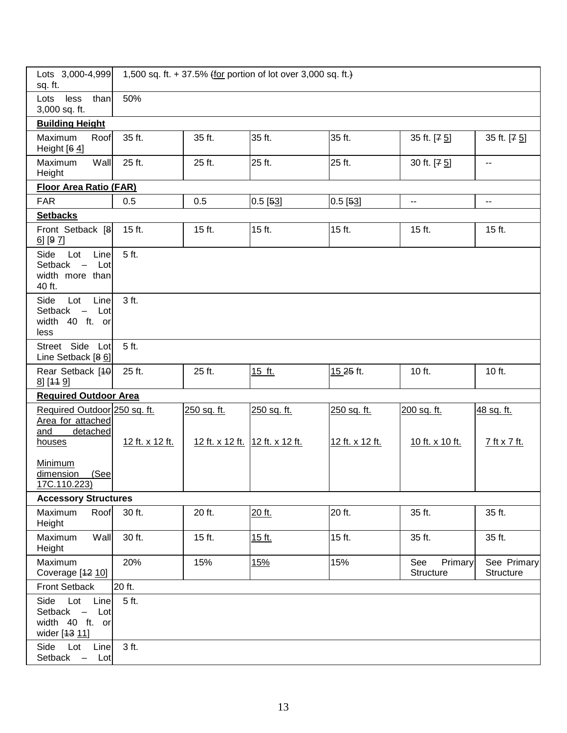| Lots 3,000-4,999<br>sq. ft.                                                                  |                 |                        | 1,500 sq. ft. + 37.5% (for portion of lot over 3,000 sq. ft.) |                 |                                           |                          |
|----------------------------------------------------------------------------------------------|-----------------|------------------------|---------------------------------------------------------------|-----------------|-------------------------------------------|--------------------------|
| less<br>than<br>Lots<br>3,000 sq. ft.                                                        | 50%             |                        |                                                               |                 |                                           |                          |
| <b>Building Height</b>                                                                       |                 |                        |                                                               |                 |                                           |                          |
| Maximum<br>Roof<br>Height $[64]$                                                             | 35 ft.          | 35 ft.                 | 35 ft.                                                        | 35 ft.          | 35 ft. [7 5]                              | 35 ft. [7 5]             |
| Maximum<br>Wall<br>Height                                                                    | 25 ft.          | 25 ft.                 | 25 ft.                                                        | 25 ft.          | 30 ft. [7 5]                              | $\overline{\phantom{a}}$ |
| <b>Floor Area Ratio (FAR)</b>                                                                |                 |                        |                                                               |                 |                                           |                          |
| <b>FAR</b>                                                                                   | 0.5             | 0.5                    | $0.5$ [53]                                                    | $0.5$ [53]      | $\overline{\phantom{a}}$                  | $\overline{\phantom{a}}$ |
| <b>Setbacks</b>                                                                              |                 |                        |                                                               |                 |                                           |                          |
| Front Setback [8]<br>$6$ ] [9 $7$ ]                                                          | 15 ft.          | 15 ft.                 | 15 ft.                                                        | 15 ft.          | 15 ft.                                    | 15 ft.                   |
| Side<br>Lot<br>Line<br>Setback<br>Lot<br>width more than<br>40 ft.                           | 5 ft.           |                        |                                                               |                 |                                           |                          |
| Line<br>Side<br>Lot<br>Setback<br>Lot<br>$\overline{\phantom{m}}$<br>width 40 ft. or<br>less | 3 ft.           |                        |                                                               |                 |                                           |                          |
| Street Side Lot<br>Line Setback [86]                                                         | 5 ft.           |                        |                                                               |                 |                                           |                          |
| Rear Setback [40]<br>8] [44 9]                                                               | 25 ft.          | 25 ft.                 | 15 ft.                                                        | 15.25 ft.       | 10 ft.                                    | 10 ft.                   |
| <b>Required Outdoor Area</b>                                                                 |                 |                        |                                                               |                 |                                           |                          |
| Required Outdoor 250 sq. ft.<br>Area for attached<br>and<br>detached                         |                 | 250 sq. ft.            | 250 sq. ft.                                                   | 250 sq. ft.     | 200 sq. ft.                               | 48 sq. ft.               |
| houses                                                                                       | 12 ft. x 12 ft. | <u>12 ft. x 12 ft.</u> | 12 ft. x 12 ft.                                               | 12 ft. x 12 ft. | 10 ft. x 10 ft.                           | 7 ft x 7 ft.             |
| Minimum<br>dimension<br>(See<br>17C.110.223)                                                 |                 |                        |                                                               |                 |                                           |                          |
| <b>Accessory Structures</b>                                                                  |                 |                        |                                                               |                 |                                           |                          |
| Roof<br>Maximum<br>Height                                                                    | 30 ft.          | 20 ft.                 | 20 ft.                                                        | 20 ft.          | 35 ft.                                    | 35 ft.                   |
| Wall<br>Maximum<br>Height                                                                    | 30 ft.          | 15 ft.                 | 15 ft.                                                        | 15 ft.          | 35 ft.                                    | 35 ft.                   |
| Maximum<br>Coverage [12 10]                                                                  | 20%             | 15%                    | 15%                                                           | 15%             | See<br><b>Primary</b><br><b>Structure</b> | See Primary<br>Structure |
| Front Setback                                                                                | 20 ft.          |                        |                                                               |                 |                                           |                          |
| Lot<br>Side<br>Line<br>Setback -<br>Lot<br>width 40 ft. or<br>wider [13 11]                  | 5 ft.           |                        |                                                               |                 |                                           |                          |
| Side<br>Lot<br>Line<br>Setback -<br>Lot                                                      | 3 ft.           |                        |                                                               |                 |                                           |                          |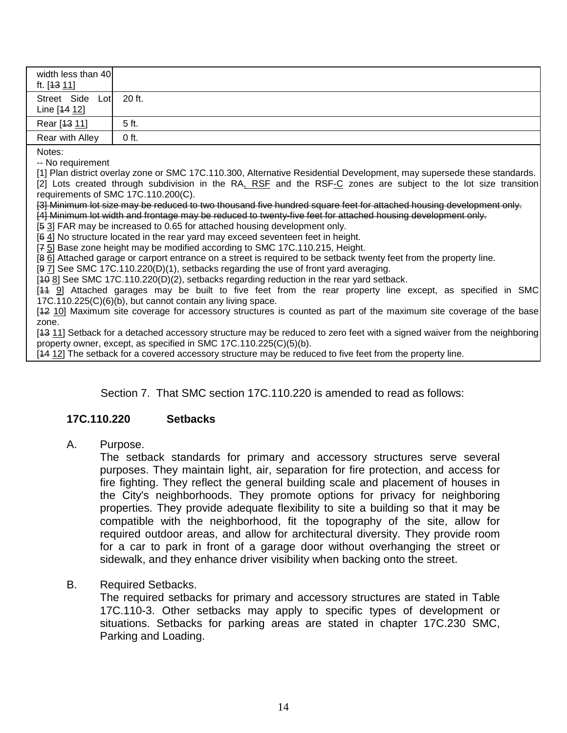| width less than 40<br>ft. [ <del>13</del> 11] |         |
|-----------------------------------------------|---------|
| Street Side Lot<br>Line [44 12]               | 20 ft.  |
| Rear [13 11]                                  | 5 ft.   |
| Rear with Alley                               | $0$ ft. |

Notes:

-- No requirement

[1] Plan district overlay zone or SMC 17C.110.300, Alternative Residential Development, may supersede these standards. [2] Lots created through subdivision in the RA, RSF and the RSF-C zones are subject to the lot size transition requirements of SMC 17C.110.200(C).

[3] Minimum lot size may be reduced to two thousand five hundred square feet for attached housing development only. [4] Minimum lot width and frontage may be reduced to twenty-five feet for attached housing development only.

[5 3] FAR may be increased to 0.65 for attached housing development only.

[6 4] No structure located in the rear yard may exceed seventeen feet in height.

[7 5] Base zone height may be modified according to SMC 17C.110.215, Height.

[8 6] Attached garage or carport entrance on a street is required to be setback twenty feet from the property line.

[9 7] See SMC 17C.110.220(D)(1), setbacks regarding the use of front yard averaging.

[40 8] See SMC 17C.110.220(D)(2), setbacks regarding reduction in the rear yard setback.

[11 9] Attached garages may be built to five feet from the rear property line except, as specified in SMC 17C.110.225(C)(6)(b), but cannot contain any living space.

[12 10] Maximum site coverage for accessory structures is counted as part of the maximum site coverage of the base zone.

[13 11] Setback for a detached accessory structure may be reduced to zero feet with a signed waiver from the neighboring property owner, except, as specified in SMC 17C.110.225(C)(5)(b).

[14 12] The setback for a covered accessory structure may be reduced to five feet from the property line.

Section 7. That SMC section 17C.110.220 is amended to read as follows:

#### **17C.110.220 Setbacks**

A. Purpose.

The setback standards for primary and accessory structures serve several purposes. They maintain light, air, separation for fire protection, and access for fire fighting. They reflect the general building scale and placement of houses in the City's neighborhoods. They promote options for privacy for neighboring properties. They provide adequate flexibility to site a building so that it may be compatible with the neighborhood, fit the topography of the site, allow for required outdoor areas, and allow for architectural diversity. They provide room for a car to park in front of a garage door without overhanging the street or sidewalk, and they enhance driver visibility when backing onto the street.

B. Required Setbacks.

The required setbacks for primary and accessory structures are stated in Table 17C.110-3. Other setbacks may apply to specific types of development or situations. Setbacks for parking areas are stated in chapter 17C.230 SMC, Parking and Loading.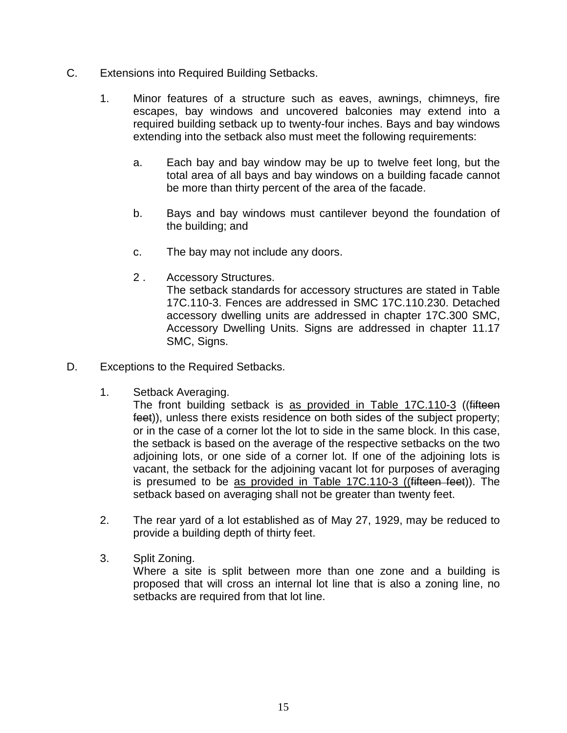- C. Extensions into Required Building Setbacks.
	- 1. Minor features of a structure such as eaves, awnings, chimneys, fire escapes, bay windows and uncovered balconies may extend into a required building setback up to twenty-four inches. Bays and bay windows extending into the setback also must meet the following requirements:
		- a. Each bay and bay window may be up to twelve feet long, but the total area of all bays and bay windows on a building facade cannot be more than thirty percent of the area of the facade.
		- b. Bays and bay windows must cantilever beyond the foundation of the building; and
		- c. The bay may not include any doors.
		- 2 . Accessory Structures.

The setback standards for accessory structures are stated in Table 17C.110-3. Fences are addressed in SMC 17C.110.230. Detached accessory dwelling units are addressed in chapter 17C.300 SMC, Accessory Dwelling Units. Signs are addressed in chapter 11.17 SMC, Signs.

- D. Exceptions to the Required Setbacks.
	- 1. Setback Averaging.

The front building setback is as provided in Table 17C.110-3 ((fifteen feet)), unless there exists residence on both sides of the subject property; or in the case of a corner lot the lot to side in the same block. In this case, the setback is based on the average of the respective setbacks on the two adjoining lots, or one side of a corner lot. If one of the adjoining lots is vacant, the setback for the adjoining vacant lot for purposes of averaging is presumed to be as provided in Table 17C.110-3 ((fifteen feet)). The setback based on averaging shall not be greater than twenty feet.

- 2. The rear yard of a lot established as of May 27, 1929, may be reduced to provide a building depth of thirty feet.
- 3. Split Zoning. Where a site is split between more than one zone and a building is proposed that will cross an internal lot line that is also a zoning line, no setbacks are required from that lot line.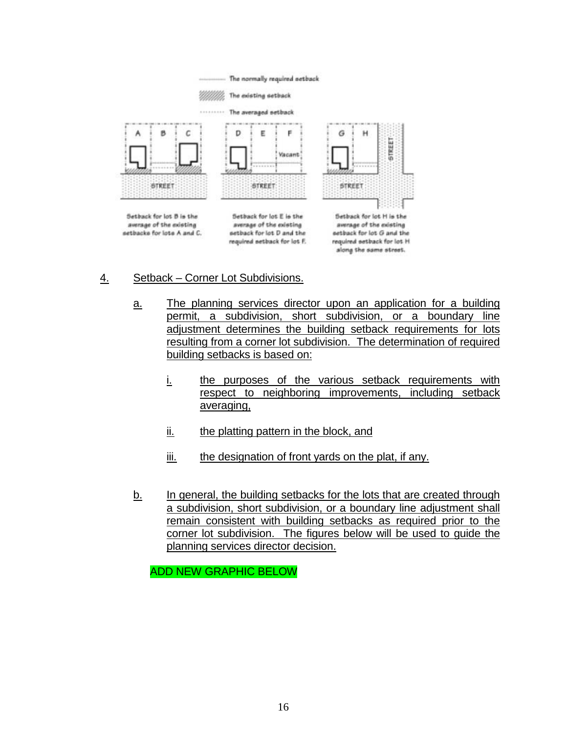

- 4. Setback Corner Lot Subdivisions.
	- a. The planning services director upon an application for a building permit, a subdivision, short subdivision, or a boundary line adjustment determines the building setback requirements for lots resulting from a corner lot subdivision. The determination of required building setbacks is based on:
		- i. the purposes of the various setback requirements with respect to neighboring improvements, including setback averaging,
		- ii. the platting pattern in the block, and
		- iii. the designation of front yards on the plat, if any.
	- b. In general, the building setbacks for the lots that are created through a subdivision, short subdivision, or a boundary line adjustment shall remain consistent with building setbacks as required prior to the corner lot subdivision. The figures below will be used to guide the planning services director decision.

ADD NEW GRAPHIC BELOW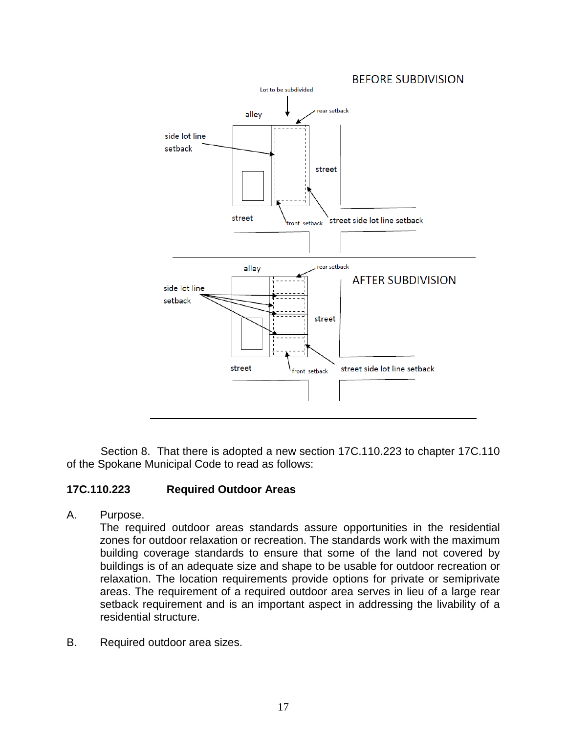

Section 8. That there is adopted a new section 17C.110.223 to chapter 17C.110 of the Spokane Municipal Code to read as follows:

# **17C.110.223 Required Outdoor Areas**

A. Purpose.

The required outdoor areas standards assure opportunities in the residential zones for outdoor relaxation or recreation. The standards work with the maximum building coverage standards to ensure that some of the land not covered by buildings is of an adequate size and shape to be usable for outdoor recreation or relaxation. The location requirements provide options for private or semiprivate areas. The requirement of a required outdoor area serves in lieu of a large rear setback requirement and is an important aspect in addressing the livability of a residential structure.

B. Required outdoor area sizes.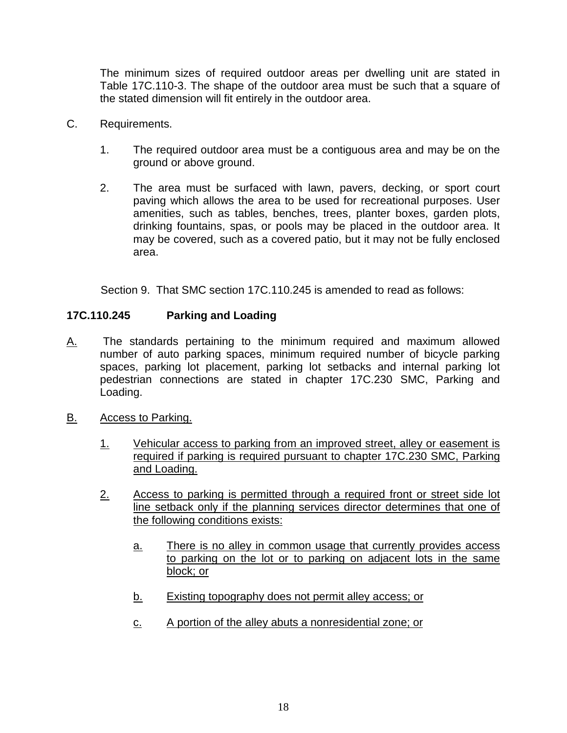The minimum sizes of required outdoor areas per dwelling unit are stated in Table 17C.110-3. The shape of the outdoor area must be such that a square of the stated dimension will fit entirely in the outdoor area.

- C. Requirements.
	- 1. The required outdoor area must be a contiguous area and may be on the ground or above ground.
	- 2. The area must be surfaced with lawn, pavers, decking, or sport court paving which allows the area to be used for recreational purposes. User amenities, such as tables, benches, trees, planter boxes, garden plots, drinking fountains, spas, or pools may be placed in the outdoor area. It may be covered, such as a covered patio, but it may not be fully enclosed area.

Section 9. That SMC section 17C.110.245 is amended to read as follows:

## **17C.110.245 Parking and Loading**

- A. The standards pertaining to the minimum required and maximum allowed number of auto parking spaces, minimum required number of bicycle parking spaces, parking lot placement, parking lot setbacks and internal parking lot pedestrian connections are stated in chapter 17C.230 SMC, Parking and Loading.
- B. Access to Parking.
	- 1. Vehicular access to parking from an improved street, alley or easement is required if parking is required pursuant to chapter 17C.230 SMC, Parking and Loading.
	- 2. Access to parking is permitted through a required front or street side lot line setback only if the planning services director determines that one of the following conditions exists:
		- a. There is no alley in common usage that currently provides access to parking on the lot or to parking on adjacent lots in the same block; or
		- b. Existing topography does not permit alley access; or
		- c. A portion of the alley abuts a nonresidential zone; or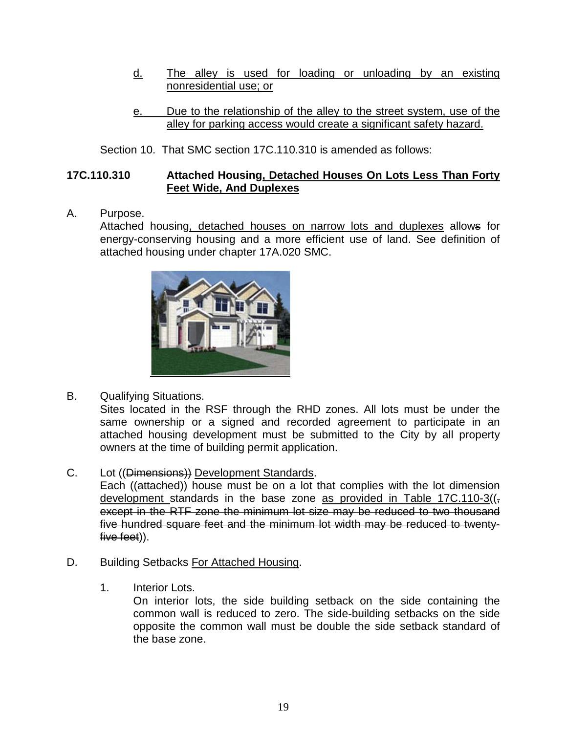- d. The alley is used for loading or unloading by an existing nonresidential use; or
- e. Due to the relationship of the alley to the street system, use of the alley for parking access would create a significant safety hazard.

#### Section 10. That SMC section 17C.110.310 is amended as follows:

#### **17C.110.310 Attached Housing, Detached Houses On Lots Less Than Forty Feet Wide, And Duplexes**

A. Purpose.

Attached housing, detached houses on narrow lots and duplexes allows for energy-conserving housing and a more efficient use of land. See definition of attached housing under chapter 17A.020 SMC.



B. Qualifying Situations.

Sites located in the RSF through the RHD zones. All lots must be under the same ownership or a signed and recorded agreement to participate in an attached housing development must be submitted to the City by all property owners at the time of building permit application.

C. Lot ((Dimensions)) Development Standards.

Each ((attached)) house must be on a lot that complies with the lot dimension development standards in the base zone as provided in Table 17C.110-3( $\left(\frac{1}{2}\right)$ except in the RTF zone the minimum lot size may be reduced to two thousand five hundred square feet and the minimum lot width may be reduced to twentyfive feet)).

- D. Building Setbacks For Attached Housing.
	- 1. Interior Lots.

On interior lots, the side building setback on the side containing the common wall is reduced to zero. The side-building setbacks on the side opposite the common wall must be double the side setback standard of the base zone.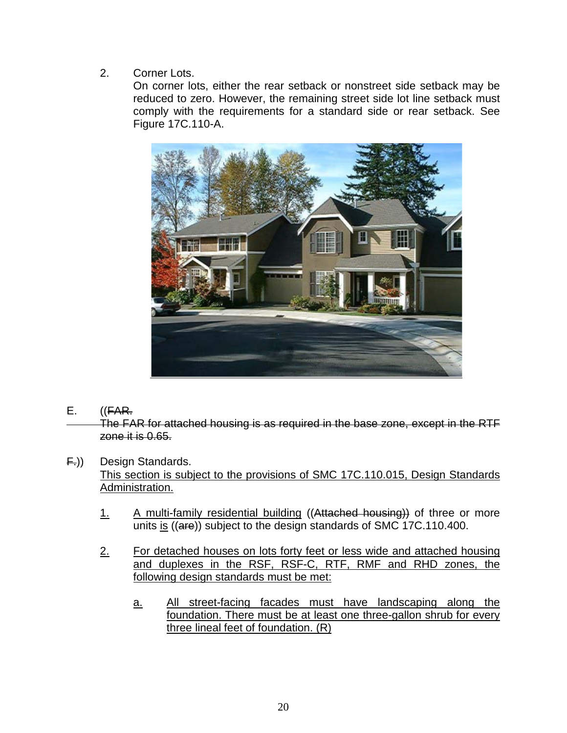2. Corner Lots.

On corner lots, either the rear setback or nonstreet side setback may be reduced to zero. However, the remaining street side lot line setback must comply with the requirements for a standard side or rear setback. See Figure 17C.110-A.



 $E.$   $((FAR.$ 

The FAR for attached housing is as required in the base zone, except in the RTF zone it is 0.65.

F.)) Design Standards.

This section is subject to the provisions of SMC 17C.110.015, Design Standards Administration.

- 1. A multi-family residential building ((Attached housing)) of three or more units is ((are)) subject to the design standards of SMC 17C.110.400.
- 2. For detached houses on lots forty feet or less wide and attached housing and duplexes in the RSF, RSF-C, RTF, RMF and RHD zones, the following design standards must be met:
	- a. All street-facing facades must have landscaping along the foundation. There must be at least one three-gallon shrub for every three lineal feet of foundation. (R)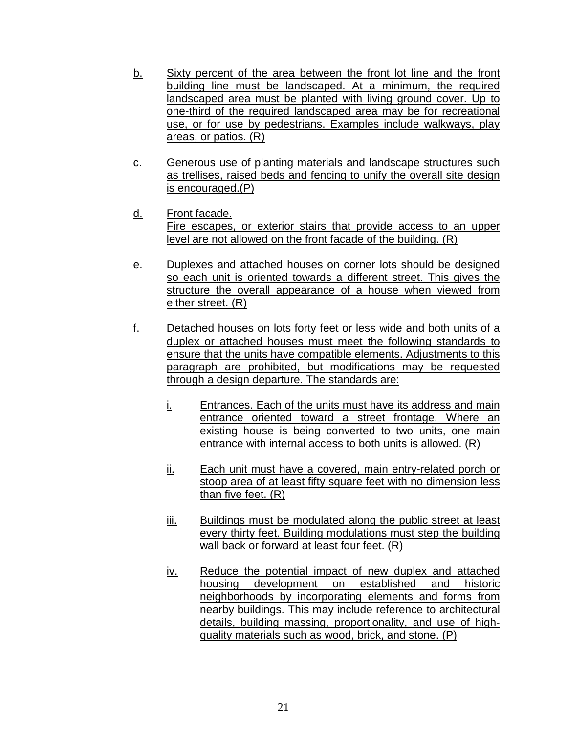- b. Sixty percent of the area between the front lot line and the front building line must be landscaped. At a minimum, the required landscaped area must be planted with living ground cover. Up to one-third of the required landscaped area may be for recreational use, or for use by pedestrians. Examples include walkways, play areas, or patios. (R)
- c. Generous use of planting materials and landscape structures such as trellises, raised beds and fencing to unify the overall site design is encouraged.(P)
- d. Front facade. Fire escapes, or exterior stairs that provide access to an upper level are not allowed on the front facade of the building. (R)
- e. Duplexes and attached houses on corner lots should be designed so each unit is oriented towards a different street. This gives the structure the overall appearance of a house when viewed from either street. (R)
- f. Detached houses on lots forty feet or less wide and both units of a duplex or attached houses must meet the following standards to ensure that the units have compatible elements. Adjustments to this paragraph are prohibited, but modifications may be requested through a design departure. The standards are:
	- i. Entrances. Each of the units must have its address and main entrance oriented toward a street frontage. Where an existing house is being converted to two units, one main entrance with internal access to both units is allowed. (R)
	- ii. Each unit must have a covered, main entry-related porch or stoop area of at least fifty square feet with no dimension less than five feet. (R)
	- iii. Buildings must be modulated along the public street at least every thirty feet. Building modulations must step the building wall back or forward at least four feet. (R)
	- iv. Reduce the potential impact of new duplex and attached housing development on established and historic neighborhoods by incorporating elements and forms from nearby buildings. This may include reference to architectural details, building massing, proportionality, and use of highquality materials such as wood, brick, and stone. (P)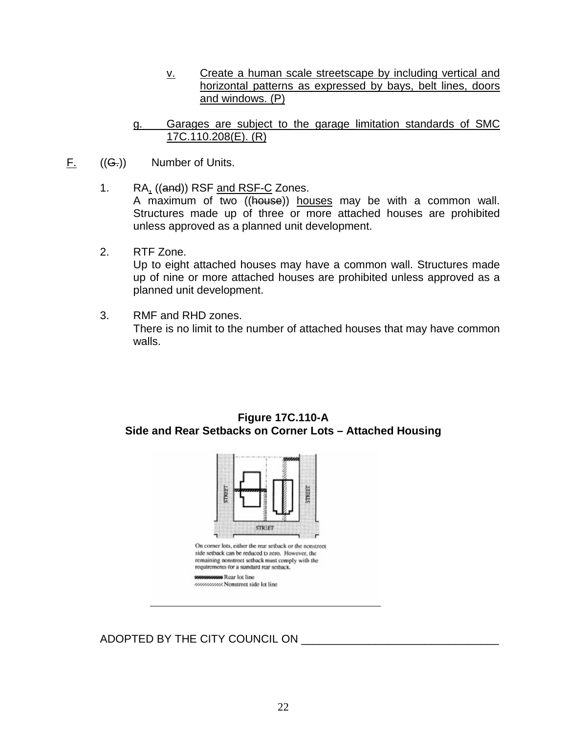- v. Create a human scale streetscape by including vertical and horizontal patterns as expressed by bays, belt lines, doors and windows. (P)
- g. Garages are subject to the garage limitation standards of SMC 17C.110.208(E). (R)
- $F_{\cdot}$  ((G<sub>r</sub>)) Number of Units.
	- 1. RA, ((and)) RSF and RSF-C Zones. A maximum of two ((house)) houses may be with a common wall. Structures made up of three or more attached houses are prohibited unless approved as a planned unit development.
	- 2. RTF Zone.

Up to eight attached houses may have a common wall. Structures made up of nine or more attached houses are prohibited unless approved as a planned unit development.

3. RMF and RHD zones. There is no limit to the number of attached houses that may have common walls.





ADOPTED BY THE CITY COUNCIL ON